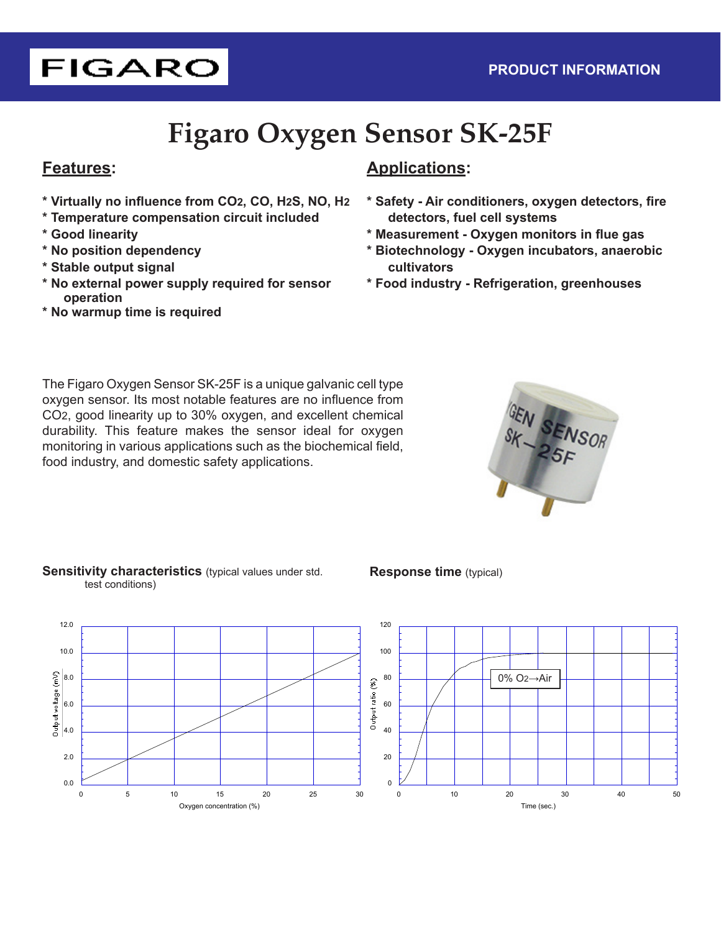# **FIGARO**

# **Figaro Oxygen Sensor SK-25F**

### **Features:**

- **\* Virtually no influence from CO2, CO, H2S, NO, H2**
- **\* Temperature compensation circuit included**
- **\* Good linearity**
- **\* No position dependency**
- **\* Stable output signal**
- **\* No external power supply required for sensor operation**
- **\* No warmup time is required**

## **Applications:**

- **\* Safety Air conditioners, oxygen detectors, fire detectors, fuel cell systems**
- **\* Measurement Oxygen monitors in flue gas**
- **\* Biotechnology Oxygen incubators, anaerobic cultivators**
- **\* Food industry Refrigeration, greenhouses**

The Figaro Oxygen Sensor SK-25F is a unique galvanic cell type oxygen sensor. Its most notable features are no influence from CO2, good linearity up to 30% oxygen, and excellent chemical durability. This feature makes the sensor ideal for oxygen monitoring in various applications such as the biochemical field, food industry, and domestic safety applications.



#### **Sensitivity characteristics** (typical values under std. test conditions)

#### **Response time** (typical)